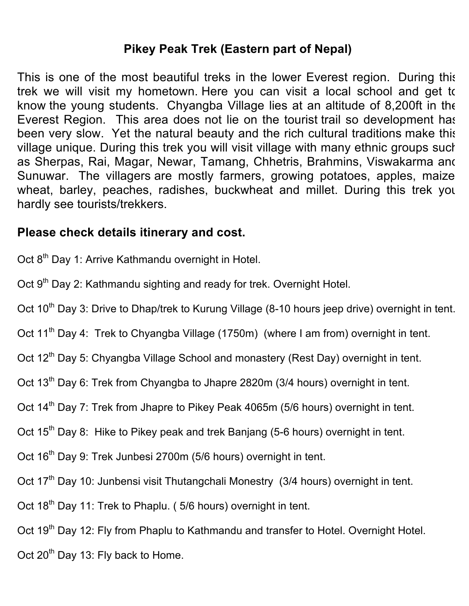#### **Pikey Peak Trek (Eastern part of Nepal)**

This is one of the most beautiful treks in the lower Everest region. During this trek we will visit my hometown. Here you can visit a local school and get to know the young students. Chyangba Village lies at an altitude of 8,200ft in the Everest Region. This area does not lie on the tourist trail so development has been very slow. Yet the natural beauty and the rich cultural traditions make this village unique. During this trek you will visit village with many ethnic groups such as Sherpas, Rai, Magar, Newar, Tamang, Chhetris, Brahmins, Viswakarma and Sunuwar. The villagers are mostly farmers, growing potatoes, apples, maize, wheat, barley, peaches, radishes, buckwheat and millet. During this trek you hardly see tourists/trekkers.

#### **Please check details itinerary and cost.**

- Oct 8<sup>th</sup> Day 1: Arrive Kathmandu overnight in Hotel.
- Oct 9<sup>th</sup> Day 2: Kathmandu sighting and ready for trek. Overnight Hotel.
- Oct 10<sup>th</sup> Day 3: Drive to Dhap/trek to Kurung Village (8-10 hours jeep drive) overnight in tent.
- Oct 11<sup>th</sup> Day 4: Trek to Chyangba Village (1750m) (where I am from) overnight in tent.
- Oct 12<sup>th</sup> Day 5: Chyangba Village School and monastery (Rest Day) overnight in tent.
- Oct 13<sup>th</sup> Day 6: Trek from Chyangba to Jhapre 2820m (3/4 hours) overnight in tent.
- Oct 14<sup>th</sup> Day 7: Trek from Jhapre to Pikey Peak 4065m (5/6 hours) overnight in tent.
- Oct 15<sup>th</sup> Day 8: Hike to Pikey peak and trek Banjang (5-6 hours) overnight in tent.
- Oct 16<sup>th</sup> Day 9: Trek Junbesi 2700m (5/6 hours) overnight in tent.
- Oct 17<sup>th</sup> Day 10: Junbensi visit Thutangchali Monestry (3/4 hours) overnight in tent.
- Oct 18<sup>th</sup> Day 11: Trek to Phaplu. (5/6 hours) overnight in tent.
- Oct 19<sup>th</sup> Day 12: Fly from Phaplu to Kathmandu and transfer to Hotel. Overnight Hotel.
- Oct 20<sup>th</sup> Day 13: Fly back to Home.